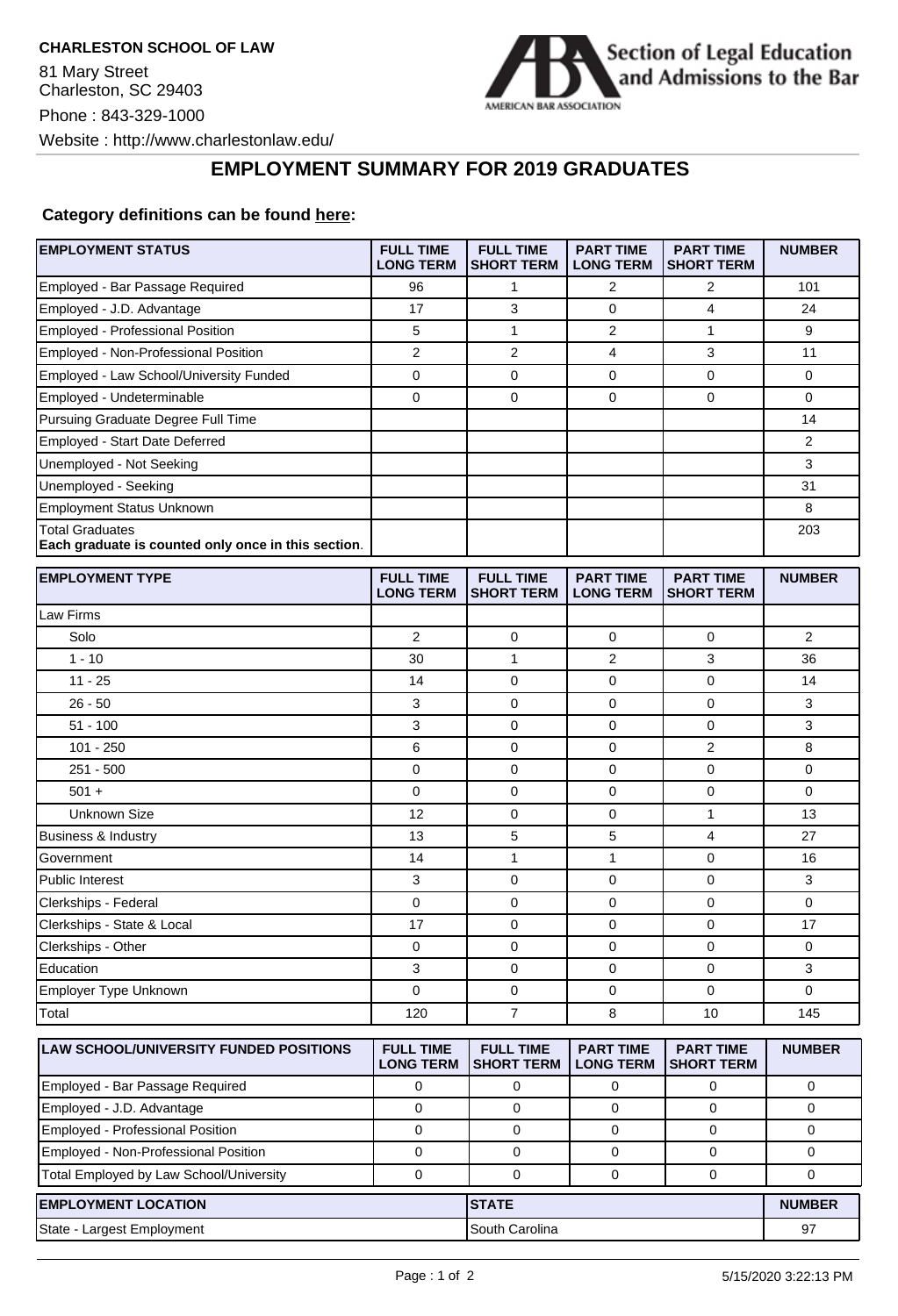

## **EMPLOYMENT SUMMARY FOR 2019 GRADUATES**

## **Category definitions can be found [here:](https://www.americanbar.org/content/dam/aba/administrative/legal_education_and_admissions_to_the_bar/Questionnaires/2020employmentquestionnaire/2020-aba-employment-protocols-class-of-2019.pdf)**

| Employed - Bar Passage Required<br>2<br>2<br>101<br>96<br>1<br>17<br>3<br>4<br>Employed - J.D. Advantage<br>0<br>24<br>Employed - Professional Position<br>5<br>1<br>2<br>$\mathbf{1}$<br>9<br>Employed - Non-Professional Position<br>2<br>3<br>2<br>4<br>11<br>0<br>0<br>0<br>$\mathbf 0$<br>0<br>Employed - Law School/University Funded<br>0<br>0<br>0<br>$\mathbf 0$<br>Employed - Undeterminable<br>0<br>Pursuing Graduate Degree Full Time<br>14<br>Employed - Start Date Deferred<br>2<br>Unemployed - Not Seeking<br>3<br>Unemployed - Seeking<br>31<br><b>Employment Status Unknown</b><br>8<br><b>Total Graduates</b><br>203<br>Each graduate is counted only once in this section.<br><b>EMPLOYMENT TYPE</b><br><b>FULL TIME</b><br><b>FULL TIME</b><br><b>PART TIME</b><br><b>PART TIME</b><br><b>NUMBER</b><br><b>LONG TERM</b><br><b>SHORT TERM</b><br><b>LONG TERM</b><br><b>SHORT TERM</b><br>Law Firms<br>Solo<br>2<br>0<br>$\overline{2}$<br>0<br>0<br>$1 - 10$<br>$\mathbf{1}$<br>2<br>3<br>30<br>36<br>$11 - 25$<br>14<br>0<br>0<br>0<br>14<br>3<br>$\mathbf 0$<br>$\mathbf 0$<br>3<br>$26 - 50$<br>0<br>3<br>0<br>3<br>$51 - 100$<br>0<br>0<br>$101 - 250$<br>6<br>$\mathbf 0$<br>$\overline{2}$<br>8<br>0<br>$251 - 500$<br>0<br>0<br>$\mathbf 0$<br>0<br>0<br>$501 +$<br>0<br>0<br>0<br>0<br>0<br>0<br>$\mathbf{1}$<br>Unknown Size<br>12<br>0<br>13<br>5<br>5<br>4<br><b>Business &amp; Industry</b><br>13<br>27<br>$\mathbf{1}$<br>$\mathbf{1}$<br>$\mathbf 0$<br>Government<br>14<br>16<br>3<br>$\mathbf 0$<br>$\mathbf 0$<br>3<br><b>Public Interest</b><br>0<br>0<br>$\mathbf 0$<br>$\mathbf 0$<br>Clerkships - Federal<br>0<br>0<br>17<br>0<br>$\mathbf 0$<br>Clerkships - State & Local<br>0<br>17<br>Clerkships - Other<br>0<br>0<br>0<br>0<br>0<br>Education<br>3<br>0<br>0<br>$\mathbf 0$<br>3<br>Employer Type Unknown<br>0<br>0<br>0<br>0<br>0<br>$\overline{7}$<br>8<br>10<br>Total<br>120<br>145<br><b>FULL TIME</b><br><b>PART TIME</b><br><b>LAW SCHOOL/UNIVERSITY FUNDED POSITIONS</b><br><b>FULL TIME</b><br><b>PART TIME</b><br><b>NUMBER</b><br><b>SHORT TERM</b><br><b>LONG TERM</b><br><b>LONG TERM</b><br><b>SHORT TERM</b><br>Employed - Bar Passage Required<br>0<br>0<br>0<br>0<br>0<br>$\mathsf{O}\xspace$<br>Employed - J.D. Advantage<br>$\mathbf 0$<br>$\mathbf 0$<br>0<br>0<br>Employed - Professional Position<br>$\mathbf 0$<br>$\mathbf 0$<br>0<br>0<br>0<br>Employed - Non-Professional Position<br>$\mathbf 0$<br>0<br>0<br>0<br>0<br>Total Employed by Law School/University<br>$\pmb{0}$<br>$\mathbf 0$<br>$\mathbf 0$<br>0<br>0<br><b>STATE</b><br><b>EMPLOYMENT LOCATION</b><br><b>NUMBER</b><br>South Carolina<br>State - Largest Employment<br>97 | <b>EMPLOYMENT STATUS</b> | <b>FULL TIME</b><br><b>LONG TERM</b> | <b>FULL TIME</b><br><b>SHORT TERM</b> | <b>PART TIME</b><br><b>LONG TERM</b> | <b>PART TIME</b><br><b>SHORT TERM</b> | <b>NUMBER</b> |
|---------------------------------------------------------------------------------------------------------------------------------------------------------------------------------------------------------------------------------------------------------------------------------------------------------------------------------------------------------------------------------------------------------------------------------------------------------------------------------------------------------------------------------------------------------------------------------------------------------------------------------------------------------------------------------------------------------------------------------------------------------------------------------------------------------------------------------------------------------------------------------------------------------------------------------------------------------------------------------------------------------------------------------------------------------------------------------------------------------------------------------------------------------------------------------------------------------------------------------------------------------------------------------------------------------------------------------------------------------------------------------------------------------------------------------------------------------------------------------------------------------------------------------------------------------------------------------------------------------------------------------------------------------------------------------------------------------------------------------------------------------------------------------------------------------------------------------------------------------------------------------------------------------------------------------------------------------------------------------------------------------------------------------------------------------------------------------------------------------------------------------------------------------------------------------------------------------------------------------------------------------------------------------------------------------------------------------------------------------------------------------------------------------------------------------------------------------------------------------------------------------------------------------------------------------------------------------------------------------------------------------------------------------------------------------------------------------------------|--------------------------|--------------------------------------|---------------------------------------|--------------------------------------|---------------------------------------|---------------|
|                                                                                                                                                                                                                                                                                                                                                                                                                                                                                                                                                                                                                                                                                                                                                                                                                                                                                                                                                                                                                                                                                                                                                                                                                                                                                                                                                                                                                                                                                                                                                                                                                                                                                                                                                                                                                                                                                                                                                                                                                                                                                                                                                                                                                                                                                                                                                                                                                                                                                                                                                                                                                                                                                                                     |                          |                                      |                                       |                                      |                                       |               |
|                                                                                                                                                                                                                                                                                                                                                                                                                                                                                                                                                                                                                                                                                                                                                                                                                                                                                                                                                                                                                                                                                                                                                                                                                                                                                                                                                                                                                                                                                                                                                                                                                                                                                                                                                                                                                                                                                                                                                                                                                                                                                                                                                                                                                                                                                                                                                                                                                                                                                                                                                                                                                                                                                                                     |                          |                                      |                                       |                                      |                                       |               |
|                                                                                                                                                                                                                                                                                                                                                                                                                                                                                                                                                                                                                                                                                                                                                                                                                                                                                                                                                                                                                                                                                                                                                                                                                                                                                                                                                                                                                                                                                                                                                                                                                                                                                                                                                                                                                                                                                                                                                                                                                                                                                                                                                                                                                                                                                                                                                                                                                                                                                                                                                                                                                                                                                                                     |                          |                                      |                                       |                                      |                                       |               |
|                                                                                                                                                                                                                                                                                                                                                                                                                                                                                                                                                                                                                                                                                                                                                                                                                                                                                                                                                                                                                                                                                                                                                                                                                                                                                                                                                                                                                                                                                                                                                                                                                                                                                                                                                                                                                                                                                                                                                                                                                                                                                                                                                                                                                                                                                                                                                                                                                                                                                                                                                                                                                                                                                                                     |                          |                                      |                                       |                                      |                                       |               |
|                                                                                                                                                                                                                                                                                                                                                                                                                                                                                                                                                                                                                                                                                                                                                                                                                                                                                                                                                                                                                                                                                                                                                                                                                                                                                                                                                                                                                                                                                                                                                                                                                                                                                                                                                                                                                                                                                                                                                                                                                                                                                                                                                                                                                                                                                                                                                                                                                                                                                                                                                                                                                                                                                                                     |                          |                                      |                                       |                                      |                                       |               |
|                                                                                                                                                                                                                                                                                                                                                                                                                                                                                                                                                                                                                                                                                                                                                                                                                                                                                                                                                                                                                                                                                                                                                                                                                                                                                                                                                                                                                                                                                                                                                                                                                                                                                                                                                                                                                                                                                                                                                                                                                                                                                                                                                                                                                                                                                                                                                                                                                                                                                                                                                                                                                                                                                                                     |                          |                                      |                                       |                                      |                                       |               |
|                                                                                                                                                                                                                                                                                                                                                                                                                                                                                                                                                                                                                                                                                                                                                                                                                                                                                                                                                                                                                                                                                                                                                                                                                                                                                                                                                                                                                                                                                                                                                                                                                                                                                                                                                                                                                                                                                                                                                                                                                                                                                                                                                                                                                                                                                                                                                                                                                                                                                                                                                                                                                                                                                                                     |                          |                                      |                                       |                                      |                                       |               |
|                                                                                                                                                                                                                                                                                                                                                                                                                                                                                                                                                                                                                                                                                                                                                                                                                                                                                                                                                                                                                                                                                                                                                                                                                                                                                                                                                                                                                                                                                                                                                                                                                                                                                                                                                                                                                                                                                                                                                                                                                                                                                                                                                                                                                                                                                                                                                                                                                                                                                                                                                                                                                                                                                                                     |                          |                                      |                                       |                                      |                                       |               |
|                                                                                                                                                                                                                                                                                                                                                                                                                                                                                                                                                                                                                                                                                                                                                                                                                                                                                                                                                                                                                                                                                                                                                                                                                                                                                                                                                                                                                                                                                                                                                                                                                                                                                                                                                                                                                                                                                                                                                                                                                                                                                                                                                                                                                                                                                                                                                                                                                                                                                                                                                                                                                                                                                                                     |                          |                                      |                                       |                                      |                                       |               |
|                                                                                                                                                                                                                                                                                                                                                                                                                                                                                                                                                                                                                                                                                                                                                                                                                                                                                                                                                                                                                                                                                                                                                                                                                                                                                                                                                                                                                                                                                                                                                                                                                                                                                                                                                                                                                                                                                                                                                                                                                                                                                                                                                                                                                                                                                                                                                                                                                                                                                                                                                                                                                                                                                                                     |                          |                                      |                                       |                                      |                                       |               |
|                                                                                                                                                                                                                                                                                                                                                                                                                                                                                                                                                                                                                                                                                                                                                                                                                                                                                                                                                                                                                                                                                                                                                                                                                                                                                                                                                                                                                                                                                                                                                                                                                                                                                                                                                                                                                                                                                                                                                                                                                                                                                                                                                                                                                                                                                                                                                                                                                                                                                                                                                                                                                                                                                                                     |                          |                                      |                                       |                                      |                                       |               |
|                                                                                                                                                                                                                                                                                                                                                                                                                                                                                                                                                                                                                                                                                                                                                                                                                                                                                                                                                                                                                                                                                                                                                                                                                                                                                                                                                                                                                                                                                                                                                                                                                                                                                                                                                                                                                                                                                                                                                                                                                                                                                                                                                                                                                                                                                                                                                                                                                                                                                                                                                                                                                                                                                                                     |                          |                                      |                                       |                                      |                                       |               |
|                                                                                                                                                                                                                                                                                                                                                                                                                                                                                                                                                                                                                                                                                                                                                                                                                                                                                                                                                                                                                                                                                                                                                                                                                                                                                                                                                                                                                                                                                                                                                                                                                                                                                                                                                                                                                                                                                                                                                                                                                                                                                                                                                                                                                                                                                                                                                                                                                                                                                                                                                                                                                                                                                                                     |                          |                                      |                                       |                                      |                                       |               |
|                                                                                                                                                                                                                                                                                                                                                                                                                                                                                                                                                                                                                                                                                                                                                                                                                                                                                                                                                                                                                                                                                                                                                                                                                                                                                                                                                                                                                                                                                                                                                                                                                                                                                                                                                                                                                                                                                                                                                                                                                                                                                                                                                                                                                                                                                                                                                                                                                                                                                                                                                                                                                                                                                                                     |                          |                                      |                                       |                                      |                                       |               |
|                                                                                                                                                                                                                                                                                                                                                                                                                                                                                                                                                                                                                                                                                                                                                                                                                                                                                                                                                                                                                                                                                                                                                                                                                                                                                                                                                                                                                                                                                                                                                                                                                                                                                                                                                                                                                                                                                                                                                                                                                                                                                                                                                                                                                                                                                                                                                                                                                                                                                                                                                                                                                                                                                                                     |                          |                                      |                                       |                                      |                                       |               |
|                                                                                                                                                                                                                                                                                                                                                                                                                                                                                                                                                                                                                                                                                                                                                                                                                                                                                                                                                                                                                                                                                                                                                                                                                                                                                                                                                                                                                                                                                                                                                                                                                                                                                                                                                                                                                                                                                                                                                                                                                                                                                                                                                                                                                                                                                                                                                                                                                                                                                                                                                                                                                                                                                                                     |                          |                                      |                                       |                                      |                                       |               |
|                                                                                                                                                                                                                                                                                                                                                                                                                                                                                                                                                                                                                                                                                                                                                                                                                                                                                                                                                                                                                                                                                                                                                                                                                                                                                                                                                                                                                                                                                                                                                                                                                                                                                                                                                                                                                                                                                                                                                                                                                                                                                                                                                                                                                                                                                                                                                                                                                                                                                                                                                                                                                                                                                                                     |                          |                                      |                                       |                                      |                                       |               |
|                                                                                                                                                                                                                                                                                                                                                                                                                                                                                                                                                                                                                                                                                                                                                                                                                                                                                                                                                                                                                                                                                                                                                                                                                                                                                                                                                                                                                                                                                                                                                                                                                                                                                                                                                                                                                                                                                                                                                                                                                                                                                                                                                                                                                                                                                                                                                                                                                                                                                                                                                                                                                                                                                                                     |                          |                                      |                                       |                                      |                                       |               |
|                                                                                                                                                                                                                                                                                                                                                                                                                                                                                                                                                                                                                                                                                                                                                                                                                                                                                                                                                                                                                                                                                                                                                                                                                                                                                                                                                                                                                                                                                                                                                                                                                                                                                                                                                                                                                                                                                                                                                                                                                                                                                                                                                                                                                                                                                                                                                                                                                                                                                                                                                                                                                                                                                                                     |                          |                                      |                                       |                                      |                                       |               |
|                                                                                                                                                                                                                                                                                                                                                                                                                                                                                                                                                                                                                                                                                                                                                                                                                                                                                                                                                                                                                                                                                                                                                                                                                                                                                                                                                                                                                                                                                                                                                                                                                                                                                                                                                                                                                                                                                                                                                                                                                                                                                                                                                                                                                                                                                                                                                                                                                                                                                                                                                                                                                                                                                                                     |                          |                                      |                                       |                                      |                                       |               |
|                                                                                                                                                                                                                                                                                                                                                                                                                                                                                                                                                                                                                                                                                                                                                                                                                                                                                                                                                                                                                                                                                                                                                                                                                                                                                                                                                                                                                                                                                                                                                                                                                                                                                                                                                                                                                                                                                                                                                                                                                                                                                                                                                                                                                                                                                                                                                                                                                                                                                                                                                                                                                                                                                                                     |                          |                                      |                                       |                                      |                                       |               |
|                                                                                                                                                                                                                                                                                                                                                                                                                                                                                                                                                                                                                                                                                                                                                                                                                                                                                                                                                                                                                                                                                                                                                                                                                                                                                                                                                                                                                                                                                                                                                                                                                                                                                                                                                                                                                                                                                                                                                                                                                                                                                                                                                                                                                                                                                                                                                                                                                                                                                                                                                                                                                                                                                                                     |                          |                                      |                                       |                                      |                                       |               |
|                                                                                                                                                                                                                                                                                                                                                                                                                                                                                                                                                                                                                                                                                                                                                                                                                                                                                                                                                                                                                                                                                                                                                                                                                                                                                                                                                                                                                                                                                                                                                                                                                                                                                                                                                                                                                                                                                                                                                                                                                                                                                                                                                                                                                                                                                                                                                                                                                                                                                                                                                                                                                                                                                                                     |                          |                                      |                                       |                                      |                                       |               |
|                                                                                                                                                                                                                                                                                                                                                                                                                                                                                                                                                                                                                                                                                                                                                                                                                                                                                                                                                                                                                                                                                                                                                                                                                                                                                                                                                                                                                                                                                                                                                                                                                                                                                                                                                                                                                                                                                                                                                                                                                                                                                                                                                                                                                                                                                                                                                                                                                                                                                                                                                                                                                                                                                                                     |                          |                                      |                                       |                                      |                                       |               |
|                                                                                                                                                                                                                                                                                                                                                                                                                                                                                                                                                                                                                                                                                                                                                                                                                                                                                                                                                                                                                                                                                                                                                                                                                                                                                                                                                                                                                                                                                                                                                                                                                                                                                                                                                                                                                                                                                                                                                                                                                                                                                                                                                                                                                                                                                                                                                                                                                                                                                                                                                                                                                                                                                                                     |                          |                                      |                                       |                                      |                                       |               |
|                                                                                                                                                                                                                                                                                                                                                                                                                                                                                                                                                                                                                                                                                                                                                                                                                                                                                                                                                                                                                                                                                                                                                                                                                                                                                                                                                                                                                                                                                                                                                                                                                                                                                                                                                                                                                                                                                                                                                                                                                                                                                                                                                                                                                                                                                                                                                                                                                                                                                                                                                                                                                                                                                                                     |                          |                                      |                                       |                                      |                                       |               |
|                                                                                                                                                                                                                                                                                                                                                                                                                                                                                                                                                                                                                                                                                                                                                                                                                                                                                                                                                                                                                                                                                                                                                                                                                                                                                                                                                                                                                                                                                                                                                                                                                                                                                                                                                                                                                                                                                                                                                                                                                                                                                                                                                                                                                                                                                                                                                                                                                                                                                                                                                                                                                                                                                                                     |                          |                                      |                                       |                                      |                                       |               |
|                                                                                                                                                                                                                                                                                                                                                                                                                                                                                                                                                                                                                                                                                                                                                                                                                                                                                                                                                                                                                                                                                                                                                                                                                                                                                                                                                                                                                                                                                                                                                                                                                                                                                                                                                                                                                                                                                                                                                                                                                                                                                                                                                                                                                                                                                                                                                                                                                                                                                                                                                                                                                                                                                                                     |                          |                                      |                                       |                                      |                                       |               |
|                                                                                                                                                                                                                                                                                                                                                                                                                                                                                                                                                                                                                                                                                                                                                                                                                                                                                                                                                                                                                                                                                                                                                                                                                                                                                                                                                                                                                                                                                                                                                                                                                                                                                                                                                                                                                                                                                                                                                                                                                                                                                                                                                                                                                                                                                                                                                                                                                                                                                                                                                                                                                                                                                                                     |                          |                                      |                                       |                                      |                                       |               |
|                                                                                                                                                                                                                                                                                                                                                                                                                                                                                                                                                                                                                                                                                                                                                                                                                                                                                                                                                                                                                                                                                                                                                                                                                                                                                                                                                                                                                                                                                                                                                                                                                                                                                                                                                                                                                                                                                                                                                                                                                                                                                                                                                                                                                                                                                                                                                                                                                                                                                                                                                                                                                                                                                                                     |                          |                                      |                                       |                                      |                                       |               |
|                                                                                                                                                                                                                                                                                                                                                                                                                                                                                                                                                                                                                                                                                                                                                                                                                                                                                                                                                                                                                                                                                                                                                                                                                                                                                                                                                                                                                                                                                                                                                                                                                                                                                                                                                                                                                                                                                                                                                                                                                                                                                                                                                                                                                                                                                                                                                                                                                                                                                                                                                                                                                                                                                                                     |                          |                                      |                                       |                                      |                                       |               |
|                                                                                                                                                                                                                                                                                                                                                                                                                                                                                                                                                                                                                                                                                                                                                                                                                                                                                                                                                                                                                                                                                                                                                                                                                                                                                                                                                                                                                                                                                                                                                                                                                                                                                                                                                                                                                                                                                                                                                                                                                                                                                                                                                                                                                                                                                                                                                                                                                                                                                                                                                                                                                                                                                                                     |                          |                                      |                                       |                                      |                                       |               |
|                                                                                                                                                                                                                                                                                                                                                                                                                                                                                                                                                                                                                                                                                                                                                                                                                                                                                                                                                                                                                                                                                                                                                                                                                                                                                                                                                                                                                                                                                                                                                                                                                                                                                                                                                                                                                                                                                                                                                                                                                                                                                                                                                                                                                                                                                                                                                                                                                                                                                                                                                                                                                                                                                                                     |                          |                                      |                                       |                                      |                                       |               |
|                                                                                                                                                                                                                                                                                                                                                                                                                                                                                                                                                                                                                                                                                                                                                                                                                                                                                                                                                                                                                                                                                                                                                                                                                                                                                                                                                                                                                                                                                                                                                                                                                                                                                                                                                                                                                                                                                                                                                                                                                                                                                                                                                                                                                                                                                                                                                                                                                                                                                                                                                                                                                                                                                                                     |                          |                                      |                                       |                                      |                                       |               |
|                                                                                                                                                                                                                                                                                                                                                                                                                                                                                                                                                                                                                                                                                                                                                                                                                                                                                                                                                                                                                                                                                                                                                                                                                                                                                                                                                                                                                                                                                                                                                                                                                                                                                                                                                                                                                                                                                                                                                                                                                                                                                                                                                                                                                                                                                                                                                                                                                                                                                                                                                                                                                                                                                                                     |                          |                                      |                                       |                                      |                                       |               |
|                                                                                                                                                                                                                                                                                                                                                                                                                                                                                                                                                                                                                                                                                                                                                                                                                                                                                                                                                                                                                                                                                                                                                                                                                                                                                                                                                                                                                                                                                                                                                                                                                                                                                                                                                                                                                                                                                                                                                                                                                                                                                                                                                                                                                                                                                                                                                                                                                                                                                                                                                                                                                                                                                                                     |                          |                                      |                                       |                                      |                                       |               |
|                                                                                                                                                                                                                                                                                                                                                                                                                                                                                                                                                                                                                                                                                                                                                                                                                                                                                                                                                                                                                                                                                                                                                                                                                                                                                                                                                                                                                                                                                                                                                                                                                                                                                                                                                                                                                                                                                                                                                                                                                                                                                                                                                                                                                                                                                                                                                                                                                                                                                                                                                                                                                                                                                                                     |                          |                                      |                                       |                                      |                                       |               |
|                                                                                                                                                                                                                                                                                                                                                                                                                                                                                                                                                                                                                                                                                                                                                                                                                                                                                                                                                                                                                                                                                                                                                                                                                                                                                                                                                                                                                                                                                                                                                                                                                                                                                                                                                                                                                                                                                                                                                                                                                                                                                                                                                                                                                                                                                                                                                                                                                                                                                                                                                                                                                                                                                                                     |                          |                                      |                                       |                                      |                                       |               |
|                                                                                                                                                                                                                                                                                                                                                                                                                                                                                                                                                                                                                                                                                                                                                                                                                                                                                                                                                                                                                                                                                                                                                                                                                                                                                                                                                                                                                                                                                                                                                                                                                                                                                                                                                                                                                                                                                                                                                                                                                                                                                                                                                                                                                                                                                                                                                                                                                                                                                                                                                                                                                                                                                                                     |                          |                                      |                                       |                                      |                                       |               |
|                                                                                                                                                                                                                                                                                                                                                                                                                                                                                                                                                                                                                                                                                                                                                                                                                                                                                                                                                                                                                                                                                                                                                                                                                                                                                                                                                                                                                                                                                                                                                                                                                                                                                                                                                                                                                                                                                                                                                                                                                                                                                                                                                                                                                                                                                                                                                                                                                                                                                                                                                                                                                                                                                                                     |                          |                                      |                                       |                                      |                                       |               |